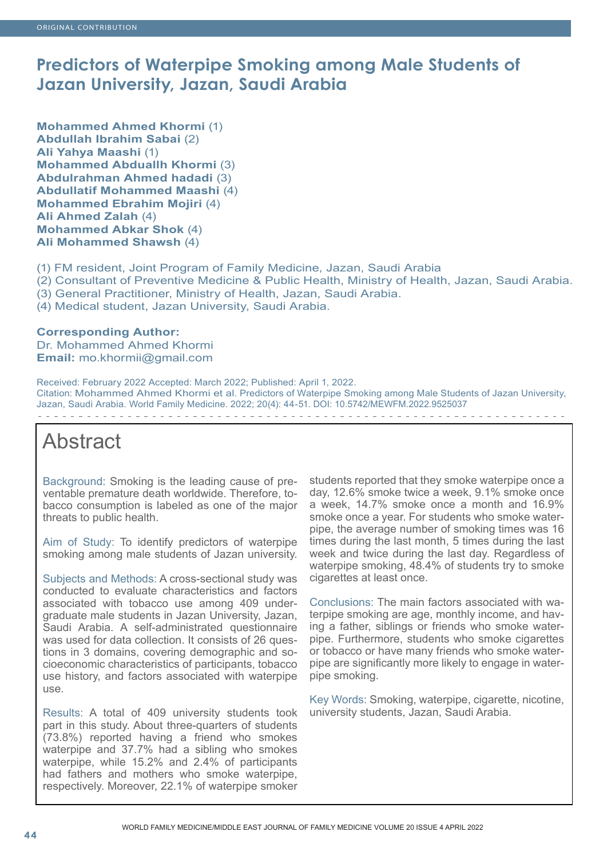# **Predictors of Waterpipe Smoking among Male Students of Jazan University, Jazan, Saudi Arabia**

**Mohammed Ahmed Khormi** (1) **Abdullah Ibrahim Sabai** (2) **Ali Yahya Maashi** (1) **Mohammed Abduallh Khormi** (3) **Abdulrahman Ahmed hadadi** (3) **Abdullatif Mohammed Maashi** (4) **Mohammed Ebrahim Mojiri** (4) **Ali Ahmed Zalah** (4) **Mohammed Abkar Shok** (4) **Ali Mohammed Shawsh** (4)

(1) FM resident, Joint Program of Family Medicine, Jazan, Saudi Arabia

(2) Consultant of Preventive Medicine & Public Health, Ministry of Health, Jazan, Saudi Arabia.

(3) General Practitioner, Ministry of Health, Jazan, Saudi Arabia.

(4) Medical student, Jazan University, Saudi Arabia.

**Corresponding Author:** Dr. Mohammed Ahmed Khormi **Email:** mo.khormii@gmail.com

Received: February 2022 Accepted: March 2022; Published: April 1, 2022. Citation: Mohammed Ahmed Khormi et al. Predictors of Waterpipe Smoking among Male Students of Jazan University, Jazan, Saudi Arabia. World Family Medicine. 2022; 20(4): 44-51. DOI: 10.5742/MEWFM.2022.9525037 . . . . . . . . . . . . . . .

# Abstract

Background: Smoking is the leading cause of preventable premature death worldwide. Therefore, tobacco consumption is labeled as one of the major threats to public health.

Aim of Study: To identify predictors of waterpipe smoking among male students of Jazan university.

Subjects and Methods: A cross-sectional study was conducted to evaluate characteristics and factors associated with tobacco use among 409 undergraduate male students in Jazan University, Jazan, Saudi Arabia. A self-administrated questionnaire was used for data collection. It consists of 26 questions in 3 domains, covering demographic and socioeconomic characteristics of participants, tobacco use history, and factors associated with waterpipe use.

Results: A total of 409 university students took part in this study. About three-quarters of students (73.8%) reported having a friend who smokes waterpipe and 37.7% had a sibling who smokes waterpipe, while 15.2% and 2.4% of participants had fathers and mothers who smoke waterpipe, respectively. Moreover, 22.1% of waterpipe smoker

students reported that they smoke waterpipe once a day, 12.6% smoke twice a week, 9.1% smoke once a week, 14.7% smoke once a month and 16.9% smoke once a year. For students who smoke waterpipe, the average number of smoking times was 16 times during the last month, 5 times during the last week and twice during the last day. Regardless of waterpipe smoking, 48.4% of students try to smoke cigarettes at least once.

Conclusions: The main factors associated with waterpipe smoking are age, monthly income, and having a father, siblings or friends who smoke waterpipe. Furthermore, students who smoke cigarettes or tobacco or have many friends who smoke waterpipe are significantly more likely to engage in waterpipe smoking.

Key Words: Smoking, waterpipe, cigarette, nicotine, university students, Jazan, Saudi Arabia.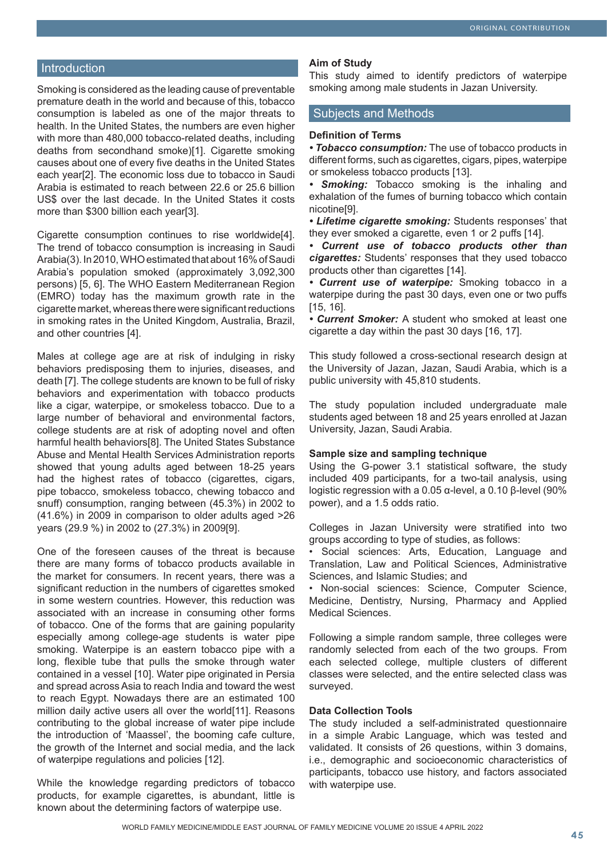# **Introduction**

Smoking is considered as the leading cause of preventable premature death in the world and because of this, tobacco consumption is labeled as one of the major threats to health. In the United States, the numbers are even higher with more than 480,000 tobacco-related deaths, including deaths from secondhand smoke)[1]. Cigarette smoking causes about one of every five deaths in the United States each year[2]. The economic loss due to tobacco in Saudi Arabia is estimated to reach between 22.6 or 25.6 billion US\$ over the last decade. In the United States it costs more than \$300 billion each year[3].

Cigarette consumption continues to rise worldwide[4]. The trend of tobacco consumption is increasing in Saudi Arabia(3). In 2010, WHO estimated that about 16% of Saudi Arabia's population smoked (approximately 3,092,300 persons) [5, 6]. The WHO Eastern Mediterranean Region (EMRO) today has the maximum growth rate in the cigarette market, whereas there were significant reductions in smoking rates in the United Kingdom, Australia, Brazil, and other countries [4].

Males at college age are at risk of indulging in risky behaviors predisposing them to injuries, diseases, and death [7]. The college students are known to be full of risky behaviors and experimentation with tobacco products like a cigar, waterpipe, or smokeless tobacco. Due to a large number of behavioral and environmental factors, college students are at risk of adopting novel and often harmful health behaviors[8]. The United States Substance Abuse and Mental Health Services Administration reports showed that young adults aged between 18-25 years had the highest rates of tobacco (cigarettes, cigars, pipe tobacco, smokeless tobacco, chewing tobacco and snuff) consumption, ranging between (45.3%) in 2002 to (41.6%) in 2009 in comparison to older adults aged >26 years (29.9 %) in 2002 to (27.3%) in 2009[9].

One of the foreseen causes of the threat is because there are many forms of tobacco products available in the market for consumers. In recent years, there was a significant reduction in the numbers of cigarettes smoked in some western countries. However, this reduction was associated with an increase in consuming other forms of tobacco. One of the forms that are gaining popularity especially among college-age students is water pipe smoking. Waterpipe is an eastern tobacco pipe with a long, flexible tube that pulls the smoke through water contained in a vessel [10]. Water pipe originated in Persia and spread across Asia to reach India and toward the west to reach Egypt. Nowadays there are an estimated 100 million daily active users all over the world[11]. Reasons contributing to the global increase of water pipe include the introduction of 'Maassel', the booming cafe culture, the growth of the Internet and social media, and the lack of waterpipe regulations and policies [12].

While the knowledge regarding predictors of tobacco products, for example cigarettes, is abundant, little is known about the determining factors of waterpipe use.

#### **Aim of Study**

This study aimed to identify predictors of waterpipe smoking among male students in Jazan University.

#### Subjects and Methods

#### **Definition of Terms**

*• Tobacco consumption:* The use of tobacco products in different forms, such as cigarettes, cigars, pipes, waterpipe or smokeless tobacco products [13].

*• Smoking:* Tobacco smoking is the inhaling and exhalation of the fumes of burning tobacco which contain nicotine[9].

*• Lifetime cigarette smoking:* Students responses' that they ever smoked a cigarette, even 1 or 2 puffs [14].

*• Current use of tobacco products other than cigarettes:* Students' responses that they used tobacco products other than cigarettes [14].

*• Current use of waterpipe:* Smoking tobacco in a waterpipe during the past 30 days, even one or two puffs [15, 16].

*• Current Smoker:* A student who smoked at least one cigarette a day within the past 30 days [16, 17].

This study followed a cross-sectional research design at the University of Jazan, Jazan, Saudi Arabia, which is a public university with 45,810 students.

The study population included undergraduate male students aged between 18 and 25 years enrolled at Jazan University, Jazan, Saudi Arabia.

#### **Sample size and sampling technique**

Using the G-power 3.1 statistical software, the study included 409 participants, for a two-tail analysis, using logistic regression with a 0.05 α-level, a 0.10 β-level (90% power), and a 1.5 odds ratio.

Colleges in Jazan University were stratified into two groups according to type of studies, as follows:

• Social sciences: Arts, Education, Language and Translation, Law and Political Sciences, Administrative Sciences, and Islamic Studies; and

• Non-social sciences: Science, Computer Science, Medicine, Dentistry, Nursing, Pharmacy and Applied Medical Sciences.

Following a simple random sample, three colleges were randomly selected from each of the two groups. From each selected college, multiple clusters of different classes were selected, and the entire selected class was surveyed.

## **Data Collection Tools**

The study included a self-administrated questionnaire in a simple Arabic Language, which was tested and validated. It consists of 26 questions, within 3 domains, i.e., demographic and socioeconomic characteristics of participants, tobacco use history, and factors associated with waterpipe use.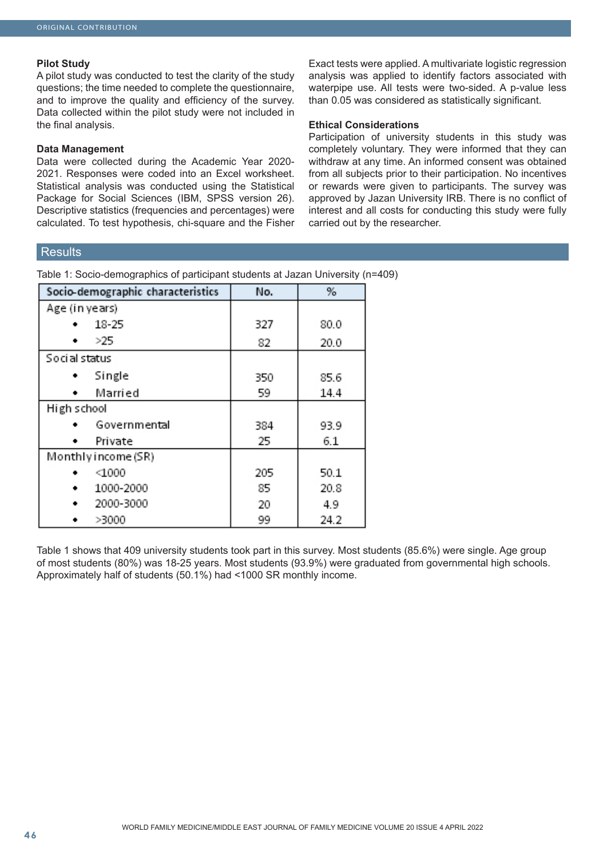#### **Pilot Study**

A pilot study was conducted to test the clarity of the study questions; the time needed to complete the questionnaire, and to improve the quality and efficiency of the survey. Data collected within the pilot study were not included in the final analysis.

#### **Data Management**

Data were collected during the Academic Year 2020- 2021. Responses were coded into an Excel worksheet. Statistical analysis was conducted using the Statistical Package for Social Sciences (IBM, SPSS version 26). Descriptive statistics (frequencies and percentages) were calculated. To test hypothesis, chi-square and the Fisher

Exact tests were applied. A multivariate logistic regression analysis was applied to identify factors associated with waterpipe use. All tests were two-sided. A p-value less than 0.05 was considered as statistically significant.

## **Ethical Considerations**

Participation of university students in this study was completely voluntary. They were informed that they can withdraw at any time. An informed consent was obtained from all subjects prior to their participation. No incentives or rewards were given to participants. The survey was approved by Jazan University IRB. There is no conflict of interest and all costs for conducting this study were fully carried out by the researcher.

# **Results**

Table 1: Socio-demographics of participant students at Jazan University (n=409)

| Socio-demographic characteristics | No. | %    |
|-----------------------------------|-----|------|
| Age (in years)                    |     |      |
| 18-25                             | 327 | 80.0 |
| >25                               | 82  | 20.0 |
| Social status                     |     |      |
| Single                            | 350 | 85.6 |
| Married                           | 59  | 14.4 |
| High school                       |     |      |
| Governmental                      | 384 | 93.9 |
| Private                           | 25  | 6.1  |
| Monthly income (SR)               |     |      |
| $1000$                            | 205 | 50.1 |
| 1000-2000<br>٠                    | 85  | 20.8 |
| 2000-3000<br>٠                    | 20  | 4.9  |
| >3000                             | 99  | 24.2 |

Table 1 shows that 409 university students took part in this survey. Most students (85.6%) were single. Age group of most students (80%) was 18-25 years. Most students (93.9%) were graduated from governmental high schools. Approximately half of students (50.1%) had <1000 SR monthly income.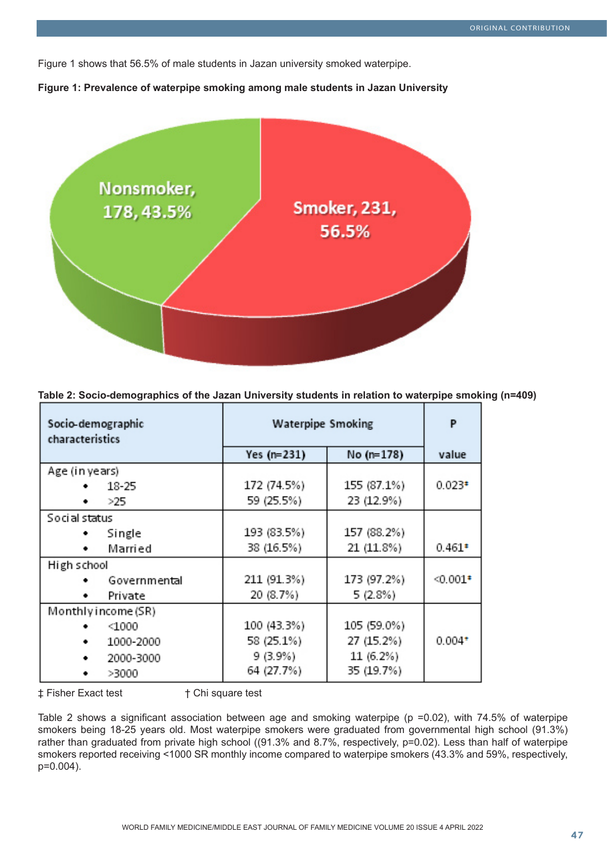Figure 1 shows that 56.5% of male students in Jazan university smoked waterpipe.





| (n=409) Table 2: Socio-demographics of the Jazan University students in relation to waterpipe smoking |  |  |
|-------------------------------------------------------------------------------------------------------|--|--|
|                                                                                                       |  |  |

| Socio-demographic<br>characteristics | <b>Waterpipe Smoking</b> | P           |           |
|--------------------------------------|--------------------------|-------------|-----------|
|                                      | Yes $(n=231)$            | No (n=178)  | value     |
| Age (in years)                       |                          |             |           |
| 18-25                                | 172 (74.5%)              | 155 (87.1%) | $0.023*$  |
| >25                                  | 59 (25.5%)               | 23 (12.9%)  |           |
| Social status                        |                          |             |           |
| Single                               | 193 (83.5%)              | 157 (88.2%) |           |
| Married                              | 38 (16.5%)               | 21 (11.8%)  | $0.461*$  |
| High school                          |                          |             |           |
| Governmental                         | 211 (91.3%)              | 173 (97.2%) | $40.001*$ |
| Private                              | 20 (8.7%)                | 5 (2.8%)    |           |
| Monthly income (SR)                  |                          |             |           |
| $\triangleleft$ 000                  | 100 (43.3%)              | 105 (59.0%) |           |
| 1000-2000                            | 58 (25.1%)               | 27 (15.2%)  | $0.004*$  |
| 2000-3000                            | 9 (3.9%)                 | 11 (6.2%)   |           |
| >3000                                | 64 (27.7%)               | 35 (19.7%)  |           |

‡ Fisher Exact test † Chi square test

Table 2 shows a significant association between age and smoking waterpipe ( $p = 0.02$ ), with 74.5% of waterpipe smokers being 18-25 years old. Most waterpipe smokers were graduated from governmental high school (91.3%) rather than graduated from private high school ((91.3% and 8.7%, respectively, p=0.02). Less than half of waterpipe smokers reported receiving <1000 SR monthly income compared to waterpipe smokers (43.3% and 59%, respectively, p=0.004).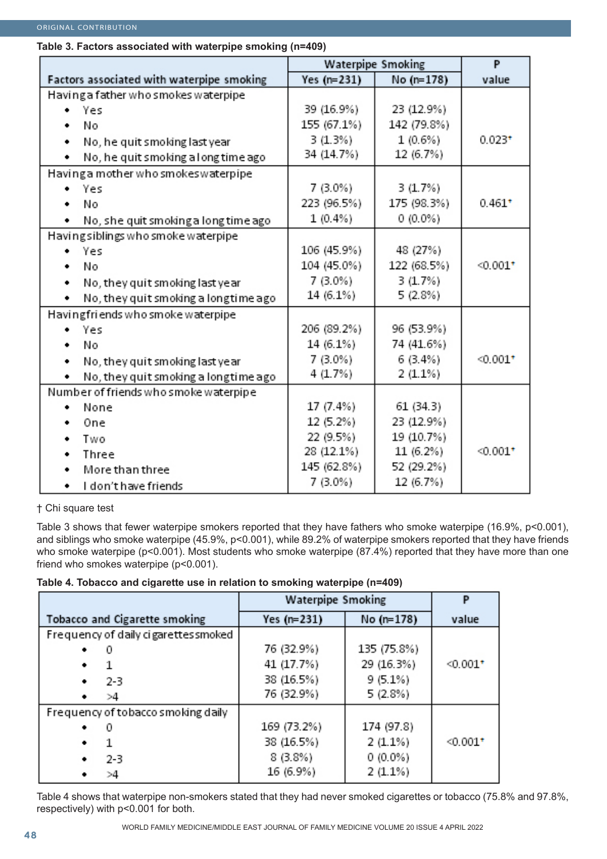# **Table 3. Factors associated with waterpipe smoking (n=409)**

|                                           | Waterpipe Smoking |             | P          |
|-------------------------------------------|-------------------|-------------|------------|
| Factors associated with waterpipe smoking | Yes $(n=231)$     | No (n=178)  | value      |
| Having a father who smokes waterpipe      |                   |             |            |
| • Yes                                     | 39 (16.9%)        | 23 (12.9%)  |            |
| No<br>٠                                   | 155 (67.1%)       | 142 (79.8%) |            |
| No, he quit smoking last year<br>٠        | 3(1.3%)           | $1(0.6\%)$  | $0.023*$   |
| No, he quit smoking a long time ago<br>٠  | 34 (14.7%)        | 12 (6.7%)   |            |
| Having a mother who smokes waterpipe      |                   |             |            |
| • Yes                                     | $7(3.0\%)$        | 3(1.7%)     |            |
| No<br>٠                                   | 223 (96.5%)       | 175 (98.3%) | $0.461*$   |
| No, she quit smoking a long time ago<br>٠ | $1(0.4\%)$        | $0(0.0\%)$  |            |
| Having siblings who smoke waterpipe       |                   |             |            |
| Yes                                       | 106 (45.9%)       | 48 (27%)    |            |
| No<br>٠                                   | 104 (45.0%)       | 122 (68.5%) | $-0.001$ * |
| No, they quit smoking last year<br>٠      | $7(3.0\%)$        | 3(1.7%)     |            |
| No, they quit smoking a longtime ago<br>٠ | 14 (6.1%)         | 5 (2.8%)    |            |
| Having friends who smoke waterpipe        |                   |             |            |
| Yes<br>٠                                  | 206 (89.2%)       | 96 (53.9%)  |            |
| No<br>٠                                   | 14 (6.1%)         | 74 (41.6%)  |            |
| No, they quit smoking last year<br>٠      | $7(3.0\%)$        | 6(3.4%)     | $0.001*$   |
| No, they quit smoking a longtime ago<br>٠ | 4(1.7%)           | $2(1.1\%)$  |            |
| Number of friends who smoke waterpipe     |                   |             |            |
| None<br>٠                                 | 17 (7.4%)         | 61 (34.3)   |            |
| One<br>٠                                  | 12 (5.2%)         | 23 (12.9%)  |            |
| Two                                       | 22 (9.5%)         | 19 (10.7%)  |            |
| Three<br>٠                                | 28 (12.1%)        | 11 (6.2%)   | $0.001*$   |
| More than three<br>٠                      | 145 (62.8%)       | 52 (29.2%)  |            |
| I don't have friends<br>٠                 | $7(3.0\%)$        | 12 (6.7%)   |            |

† Chi square test

Table 3 shows that fewer waterpipe smokers reported that they have fathers who smoke waterpipe (16.9%, p<0.001), and siblings who smoke waterpipe (45.9%, p<0.001), while 89.2% of waterpipe smokers reported that they have friends who smoke waterpipe (p<0.001). Most students who smoke waterpipe (87.4%) reported that they have more than one friend who smokes waterpipe (p<0.001).

# **Table 4. Tobacco and cigarette use in relation to smoking waterpipe (n=409)**

|                                      | <b>Waterpipe Smoking</b> |             |                        |
|--------------------------------------|--------------------------|-------------|------------------------|
| Tobacco and Cigarette smoking        | Yes (n=231)              | No (n=178)  | value                  |
| Frequency of daily cigarettes smoked |                          |             |                        |
| ٠<br>0                               | 76 (32.9%)               | 135 (75.8%) |                        |
| ٠                                    | 41 (17.7%)               | 29 (16.3%)  | $0.001*$               |
| $2 - 3$<br>٠                         | 38 (16.5%)               | 9 (5.1%)    |                        |
| >4<br>٠                              | 76 (32.9%)               | 5 (2.8%)    |                        |
| Frequency of tobacco smoking daily   |                          |             |                        |
| ٠<br>0                               | 169 (73.2%)              | 174 (97.8)  |                        |
| ٠                                    | 38 (16.5%)               | $2(1.1\%)$  | $< 0.001$ <sup>*</sup> |
| $2 - 3$<br>٠                         | $8(3.8\%)$               | $0(0.0\%)$  |                        |
| >4                                   | 16 (6.9%)                | 2(1.1%)     |                        |

Table 4 shows that waterpipe non-smokers stated that they had never smoked cigarettes or tobacco (75.8% and 97.8%, respectively) with p<0.001 for both.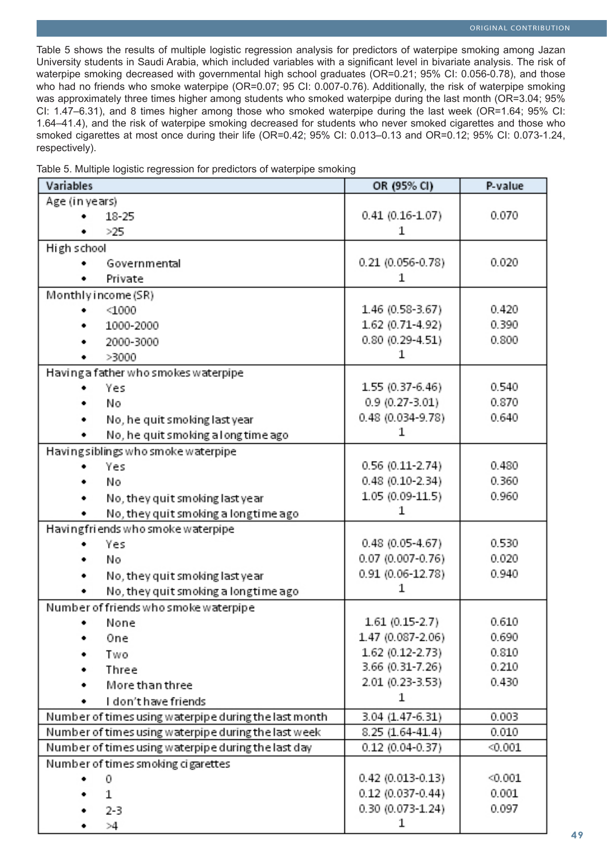Table 5 shows the results of multiple logistic regression analysis for predictors of waterpipe smoking among Jazan University students in Saudi Arabia, which included variables with a significant level in bivariate analysis. The risk of waterpipe smoking decreased with governmental high school graduates (OR=0.21; 95% CI: 0.056-0.78), and those who had no friends who smoke waterpipe (OR=0.07; 95 CI: 0.007-0.76). Additionally, the risk of waterpipe smoking was approximately three times higher among students who smoked waterpipe during the last month (OR=3.04; 95%) CI: 1.47–6.31), and 8 times higher among those who smoked waterpipe during the last week (OR=1.64; 95% CI: 1.64–41.4), and the risk of waterpipe smoking decreased for students who never smoked cigarettes and those who smoked cigarettes at most once during their life (OR=0.42; 95% CI: 0.013–0.13 and OR=0.12; 95% CI: 0.073-1.24, respectively).

| Table 5. Multiple logistic regression for predictors of waterpipe smoking |  |  |  |  |  |
|---------------------------------------------------------------------------|--|--|--|--|--|
|---------------------------------------------------------------------------|--|--|--|--|--|

| Variables                                             | OR (95% CI)          | P-value |
|-------------------------------------------------------|----------------------|---------|
| Age (in years)                                        |                      |         |
| 18-25                                                 | $0.41(0.16 - 1.07)$  | 0.070   |
| >25                                                   | 1                    |         |
| High school                                           |                      |         |
| Governmental                                          | 0.21 (0.056-0.78)    | 0.020   |
| Private                                               | 1                    |         |
| Monthly income (SR)                                   |                      |         |
| $<$ 1000                                              | 1.46 (0.58-3.67)     | 0.420   |
| 1000-2000                                             | 1.62 (0.71-4.92)     | 0.390   |
| 2000-3000                                             | $0.80(0.29 - 4.51)$  | 0.800   |
| >3000                                                 | 1                    |         |
| Having a father who smokes waterpipe                  |                      |         |
| Yes                                                   | 1.55 (0.37-6.46)     | 0.540   |
| N٥                                                    | $0.9(0.27 - 3.01)$   | 0.870   |
| No, he quit smoking last year<br>٠                    | 0.48 (0.034-9.78)    | 0.640   |
| No, he quit smoking a long time ago                   | 1                    |         |
| Having siblings who smoke waterpipe                   |                      |         |
| Yes                                                   | $0.56(0.11-2.74)$    | 0.480   |
| Nο                                                    | $0.48$ (0.10-2.34)   | 0.360   |
| No, they quit smoking last year                       | $1.05(0.09-11.5)$    | 0.960   |
| No, they quit smoking a longtime ago                  | 1                    |         |
| Havingfriends who smoke waterpipe                     |                      |         |
| Yes                                                   | $0.48(0.05 - 4.67)$  | 0.530   |
| No                                                    | 0.07 (0.007-0.76)    | 0.020   |
| No, they quit smoking last year                       | 0.91 (0.06-12.78)    | 0.940   |
| No, they quit smoking a longtime ago                  | 1                    |         |
| Number of friends who smoke waterpipe                 |                      |         |
| None                                                  | $1.61(0.15-2.7)$     | 0.610   |
| One                                                   | 1.47 (0.087-2.06)    | 0.690   |
| Two                                                   | 1.62 (0.12-2.73)     | 0.810   |
| Three                                                 | 3.66 (0.31-7.26)     | 0.210   |
| More than three                                       | 2.01 (0.23-3.53)     | 0.430   |
| I don't have friends                                  | 1                    |         |
| Number of times using waterpipe during the last month | 3.04 (1.47-6.31)     | 0.003   |
| Number of times using waterpipe during the last week  | 8.25 (1.64-41.4)     | 0.010   |
| Number of times using waterpipe during the last day   | $0.12(0.04-0.37)$    | < 0.001 |
| Number of times smoking cigarettes                    |                      |         |
| 0                                                     | $0.42(0.013 - 0.13)$ | < 0.001 |
| 1                                                     | $0.12$ (0.037-0.44)  | 0.001   |
| $2 - 3$                                               | $0.30(0.073 - 1.24)$ | 0.097   |
| >4                                                    | 1                    |         |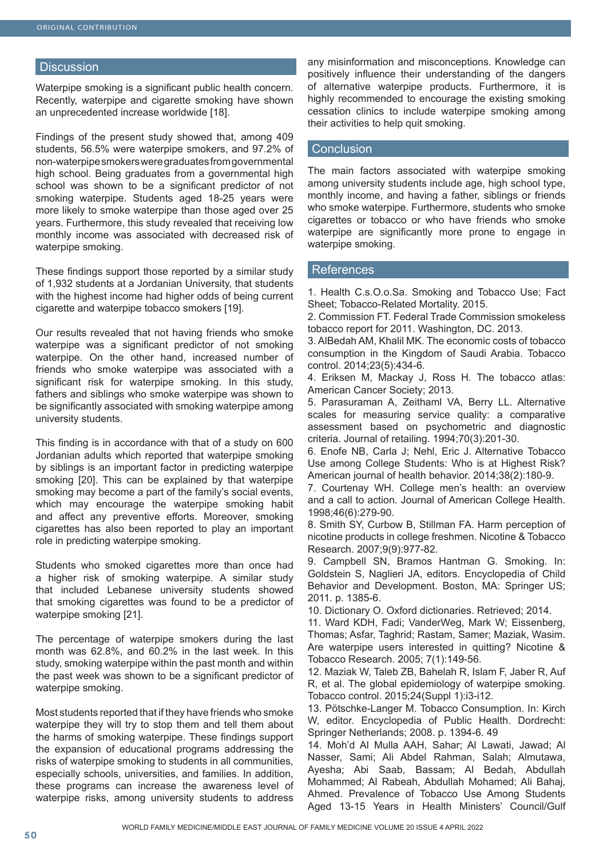# **Discussion**

Waterpipe smoking is a significant public health concern. Recently, waterpipe and cigarette smoking have shown an unprecedented increase worldwide [18].

Findings of the present study showed that, among 409 students, 56.5% were waterpipe smokers, and 97.2% of non-waterpipe smokers were graduates from governmental high school. Being graduates from a governmental high school was shown to be a significant predictor of not smoking waterpipe. Students aged 18-25 years were more likely to smoke waterpipe than those aged over 25 years. Furthermore, this study revealed that receiving low monthly income was associated with decreased risk of waterpipe smoking.

These findings support those reported by a similar study of 1,932 students at a Jordanian University, that students with the highest income had higher odds of being current cigarette and waterpipe tobacco smokers [19].

Our results revealed that not having friends who smoke waterpipe was a significant predictor of not smoking waterpipe. On the other hand, increased number of friends who smoke waterpipe was associated with a significant risk for waterpipe smoking. In this study, fathers and siblings who smoke waterpipe was shown to be significantly associated with smoking waterpipe among university students.

This finding is in accordance with that of a study on 600 Jordanian adults which reported that waterpipe smoking by siblings is an important factor in predicting waterpipe smoking [20]. This can be explained by that waterpipe smoking may become a part of the family's social events, which may encourage the waterpipe smoking habit and affect any preventive efforts. Moreover, smoking cigarettes has also been reported to play an important role in predicting waterpipe smoking.

Students who smoked cigarettes more than once had a higher risk of smoking waterpipe. A similar study that included Lebanese university students showed that smoking cigarettes was found to be a predictor of waterpipe smoking [21].

The percentage of waterpipe smokers during the last month was 62.8%, and 60.2% in the last week. In this study, smoking waterpipe within the past month and within the past week was shown to be a significant predictor of waterpipe smoking.

Most students reported that if they have friends who smoke waterpipe they will try to stop them and tell them about the harms of smoking waterpipe. These findings support the expansion of educational programs addressing the risks of waterpipe smoking to students in all communities, especially schools, universities, and families. In addition, these programs can increase the awareness level of waterpipe risks, among university students to address

any misinformation and misconceptions. Knowledge can positively influence their understanding of the dangers of alternative waterpipe products. Furthermore, it is highly recommended to encourage the existing smoking cessation clinics to include waterpipe smoking among their activities to help quit smoking.

# **Conclusion**

The main factors associated with waterpipe smoking among university students include age, high school type, monthly income, and having a father, siblings or friends who smoke waterpipe. Furthermore, students who smoke cigarettes or tobacco or who have friends who smoke waterpipe are significantly more prone to engage in waterpipe smoking.

# References

1. Health C.s.O.o.Sa. Smoking and Tobacco Use; Fact Sheet; Tobacco-Related Mortality. 2015.

2. Commission FT. Federal Trade Commission smokeless tobacco report for 2011. Washington, DC. 2013.

3. AlBedah AM, Khalil MK. The economic costs of tobacco consumption in the Kingdom of Saudi Arabia. Tobacco control. 2014;23(5):434-6.

4. Eriksen M, Mackay J, Ross H. The tobacco atlas: American Cancer Society; 2013.

5. Parasuraman A, Zeithaml VA, Berry LL. Alternative scales for measuring service quality: a comparative assessment based on psychometric and diagnostic criteria. Journal of retailing. 1994;70(3):201-30.

6. Enofe NB, Carla J; Nehl, Eric J. Alternative Tobacco Use among College Students: Who is at Highest Risk? American journal of health behavior. 2014;38(2):180-9.

7. Courtenay WH. College men's health: an overview and a call to action. Journal of American College Health. 1998;46(6):279-90.

8. Smith SY, Curbow B, Stillman FA. Harm perception of nicotine products in college freshmen. Nicotine & Tobacco Research. 2007;9(9):977-82.

9. Campbell SN, Bramos Hantman G. Smoking. In: Goldstein S, Naglieri JA, editors. Encyclopedia of Child Behavior and Development. Boston, MA: Springer US; 2011. p. 1385-6.

10. Dictionary O. Oxford dictionaries. Retrieved; 2014.

11. Ward KDH, Fadi; VanderWeg, Mark W; Eissenberg, Thomas; Asfar, Taghrid; Rastam, Samer; Maziak, Wasim. Are waterpipe users interested in quitting? Nicotine & Tobacco Research. 2005; 7(1):149-56.

12. Maziak W, Taleb ZB, Bahelah R, Islam F, Jaber R, Auf R, et al. The global epidemiology of waterpipe smoking. Tobacco control. 2015;24(Suppl 1):i3-i12.

13. Pötschke-Langer M. Tobacco Consumption. In: Kirch W, editor. Encyclopedia of Public Health. Dordrecht: Springer Netherlands; 2008. p. 1394-6. 49

14. Moh'd Al Mulla AAH, Sahar; Al Lawati, Jawad; Al Nasser, Sami; Ali Abdel Rahman, Salah; Almutawa, Ayesha; Abi Saab, Bassam; Al Bedah, Abdullah Mohammed; Al Rabeah, Abdullah Mohamed; Ali Bahaj, Ahmed. Prevalence of Tobacco Use Among Students Aged 13-15 Years in Health Ministers' Council/Gulf